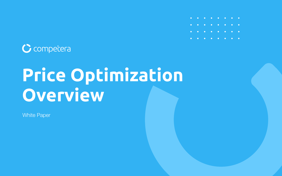

# **Price Optimization Overview**

White Paper

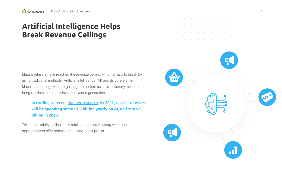### **Artificial Intelligence Helps Break Revenue Ceilings**

Mature retailers have reached the revenue ceiling, which is hard to break by using traditional methods. Artificial Intelligence (AI) and its core element Machine Learning (ML) are gaining momentum as a revolutionary means to bring retailers to the next level of revenue generation.

This paper briefly outlines how retailers can use AI along with other approaches to offer optimal prices and boost profits.















### According to recent [Juniper research,](https://www.businesswire.com/news/home/20180131005068/en/Juniper-Research-Retailer-Spending-AI-Grow-Fourfold) by 2022, retail businesses **will be spending some \$7.3 billion yearly on AI, up from \$2 billion in 2018.**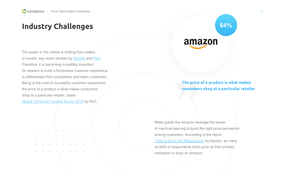### **Industry Challenges**

The power in the market is shifting from sellers to buyers, say recent studies by **Deloitte** an[d PwC.](https://www.pwc.com/gx/en/retail-consumer/assets/consumer-trust-global-consumer-insights-survey.pdf) Therefore, it is becoming incredibly important for retailers to build a frictionless customer experience to differentiate from competitors and retain customers. Being at the core of successful customer experience, the price of a product is what makes consumers shop at a particular retailer, states

[Global Consumer Insights Survey 2018 b](https://www.pwc.com/gx/en/retail-consumer/assets/consumer-trust-global-consumer-insights-survey.pdf)y PwC.

 $\bullet$   $\bullet$   $\bullet$ 

Retail giants like Amazon leverage the power of machine learning to build the right price perception among customers. According to the report ["How to win in the Amazon era"](http://engage.epsilon.com/how-to-survive-and-thrive-in-an-amazon-world) by Epsilon, as many as 64% of respondents cited price as their primary motivation to shop on Amazon.

### **The price of a product is what makes consumers shop at a particular retailer**

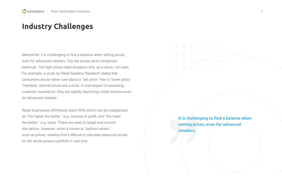Meanwhile, it is challenging to find a balance when setting prices, even for advanced retailers. Too low prices send companies bankrupt. Too high prices repel shoppers and, as a result, cut sales. For example, a study by Retail Systems Research states that consumers would rather care about a "fair price" than a "lower price." Therefore, optimal prices are a must. A core aspect of rewarding customer experience, they are rapidly becoming rocket science even for advanced retailers.

Retail businesses effortlessly reach KPIs which can be categorized as "the higher the better," e.g. revenue or profit, and "the lower the better," e.g. costs. These are easy to target and convert into tactics. However, when it comes to "optimal values," such as prices, retailers find it difficult to calculate balanced prices for the whole product portfolio in real time.

### **Industry Challenges**

### **It is challenging to find a balance when setting prices, even for advanced**

**retailers.**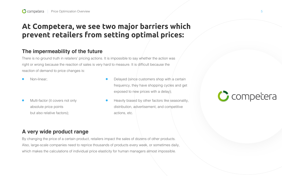### **At Competera, we see two major barriers which prevent retailers from setting optimal prices:**

### **The impermeability of the future**

There is no ground truth in retailers' pricing actions. It is impossible to say whether the action was right or wrong because the reaction of sales is very hard to measure. It is difficult because the reaction of demand to price changes is:

- Delayed (since customers shop with a certain frequency, they have shopping cycles and get exposed to new prices with a delay);
- Heavily biased by other factors like seasonality, distribution, advertisement, and competitive actions, etc.
- Non-linear;
- Multi-factor (it covers not only absolute price points but also relative factors);

### **A very wide product range**

By changing the price of a certain product, retailers impact the sales of dozens of other products. Also, large-scale companies need to reprice thousands of products every week, or sometimes daily, which makes the calculations of individual price elasticity for human managers almost impossible.



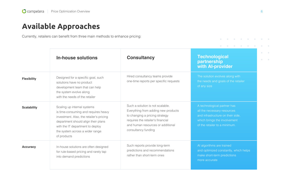### **Available Approaches**

Currently, retailers can benefit from three main methods to enhance pricing:

|                    | <b>In-house solutions</b>                                                                                                                                                                                                                    | <b>Consultancy</b>                                                                                                                                                                                         |  |
|--------------------|----------------------------------------------------------------------------------------------------------------------------------------------------------------------------------------------------------------------------------------------|------------------------------------------------------------------------------------------------------------------------------------------------------------------------------------------------------------|--|
| <b>Flexibility</b> | Designed for a specific goal, such<br>solutions have no product<br>development team that can help<br>the system evolve along<br>with the needs of the retailer                                                                               | Hired consultancy teams provide<br>one-time reports per specific requests                                                                                                                                  |  |
| <b>Scalability</b> | Scaling up internal systems<br>is time-consuming and requires heavy<br>investment. Also, the retailer's pricing<br>department should align their plans<br>with the IT department to deploy<br>the system across a wider range<br>of products | Such a solution is not scalable.<br>Everything from adding new products<br>to changing a pricing strategy<br>requires the retailer's financial<br>and human resources or additional<br>consultancy funding |  |
| <b>Accuracy</b>    | In-house solutions are often designed<br>for rule-based pricing and rarely tap<br>into demand predictions                                                                                                                                    | Such reports provide long-term<br>predictions and recommendations<br>rather than short-term ones                                                                                                           |  |

technological partner has Il the necessary resources and infrastructure on their side, which brings the involvement of the retailer to a minimum.

### **Technological partnership with AI-provider**

The solution evolves along with he needs and goals of the retailer f any size

AI algorithms are trained and optimized constantly, which helps make short-term predictions more accurate

 $\blacksquare$ 

. . . . . . . . .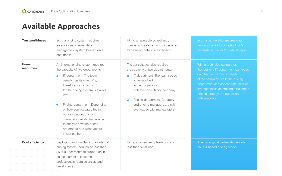### **Available Approaches**

|                        | <b>Trustworthiness</b>                                                                                                                                                                           | Such a pricing system requires<br>an additional internal data<br>management system to keep data<br>confidential                                                                                                                                                                                                                                                                                                      | Hiring a reputable consultancy<br>company is safe, although it requires<br>transferring data to a third-party                                                                                                                                                                  |
|------------------------|--------------------------------------------------------------------------------------------------------------------------------------------------------------------------------------------------|----------------------------------------------------------------------------------------------------------------------------------------------------------------------------------------------------------------------------------------------------------------------------------------------------------------------------------------------------------------------------------------------------------------------|--------------------------------------------------------------------------------------------------------------------------------------------------------------------------------------------------------------------------------------------------------------------------------|
|                        | <b>Human</b><br><b>resources</b>                                                                                                                                                                 | An internal pricing system requires<br>the capacity of two departments:<br>IT department. The team<br>usually has its own KPIs,<br>therefore, its capacity<br>for the pricing system is always<br>low.<br>Pricing department. Depending<br>on how sophisticated the in-<br>house solution, pricing<br>managers can still be required<br>to analyze how the prices<br>are crafted and what factors<br>influence them. | The consultancy also requires<br>the capacity of two departments:<br>IT department. The team needs<br>to be involved<br>in the cooperation<br>with the consultancy company.<br>Pricing department. Category<br>and pricing managers are still<br>overloaded with manual tasks. |
| $\bullet$<br>$\bullet$ | <b>Cost efficiency</b><br>$\bullet\qquad\bullet\qquad\bullet\qquad\bullet\qquad\bullet$<br>$\begin{array}{cccccccccccccc} \bullet & \bullet & \bullet & \bullet & \bullet & \bullet \end{array}$ | Deploying and maintaining an internal<br>pricing system requires no less than<br>\$50,000 per month to support an in-<br>house team of at least ten<br>professionals (data scientists and<br>developers)                                                                                                                                                                                                             | Hiring a consultancy team costs no<br>less than \$2 million                                                                                                                                                                                                                    |

Such a partnership ensures data security thanks to Google cloud's separate accounts for data storage

With a technological partner, the retailer's IT department can focus on other technological needs of the company, while the pricing department can concentrate on such strategic tasks as crafting a balanced pricing strategy or negotiations with suppliers

A technological partnership entails an ROI-based pricing model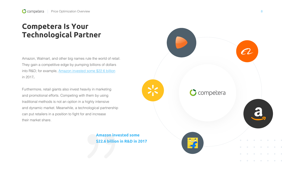### **Competera Is Your Technological Partner**

Amazon, Walmart, and other big names rule the world of retail. They gain a competitive edge by pumping billions of dollars into R&D; for example[, Amazon invested some \\$22.6 billion](https://www.forbes.com/sites/walterloeb/2018/11/01/amazon-is-biggest-investor-for-the-future/#73c6d8ba1f1d) in 2017**.**

Furthermore, retail giants also invest heavily in marketing and promotional efforts. Competing with them by using traditional methods is not an option in a highly intensive and dynamic market. Meanwhile, a technological partnership can put retailers in a position to fight for and increase their market share.

> **Amazon invested some \$22.6 billion in R&D in 2017**

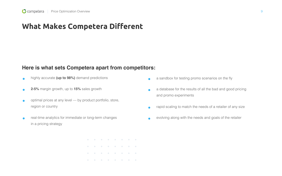### **What Makes Competera Different**

- a sandbox for testing promo scenarios on the fly  $\bullet$
- $\bullet$ and promo experiments
- $\bullet$
- $\bullet$

- highly accurate **(up to 98%)** demand predictions
- **2-5%** margin growth, up to **15%** sales growth
- optimal prices at any level by product portfolio, store, region or country
- real-time analytics for immediate or long-term changes in a pricing strategy
	-

a database for the results of all the bad and good pricing

rapid scaling to match the needs of a retailer of any size

evolving along with the needs and goals of the retailer

### **Here is what sets Competera apart from competitors:**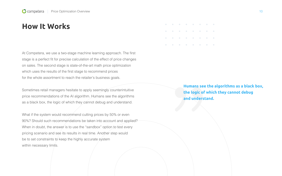### **How It Works**

At Competera, we use a two-stage machine learning approach. The first stage is a perfect fit for precise calculation of the effect of price changes on sales. The second stage is state-of-the-art math price optimization which uses the results of the first stage to recommend prices for the whole assortment to reach the retailer's business goals.

What if the system would recommend cutting prices by 50% or even 90%? Should such recommendations be taken into account and applied? When in doubt, the answer is to use the "sandbox" option to test every pricing scenario and see its results in real time. Another step would be to set constraints to keep the highly accurate system within necessary limits.

Sometimes retail managers hesitate to apply seemingly counterintuitive price recommendations of the AI algorithm. Humans see the algorithms as a black box, the logic of which they cannot debug and understand.

**Humans see the algorithms as a black box, the logic of which they cannot debug and understand.** 

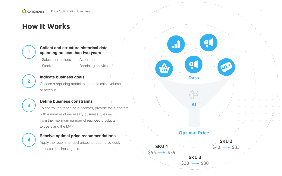### **How It Works**



#### **Collect and structure historical data spanning no less than two years**

- Sales transactions - Assortment
- Stock

Choose a repricing model to increase sales volumes or revenue.

- Repricing activities



### **Indicate business goals**



#### **Define business constraints**



To control the repricing outcomes, provide the algorithm with a number of necessary business rules from the maximum number of repriced products to costs and the MAP.

# **4**

#### **Receive optimal price recommendations**

Apply the recommended prices to reach previously indicated business goals.

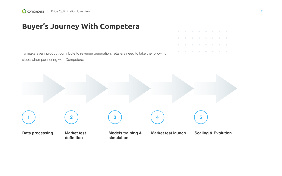## **Buyer's Journey With Competera**

### **Scaling & Evolution**





To make every product contribute to revenue generation, retailers need to take the following steps when partnering with Competera: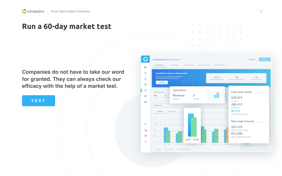**Companies do not have to take our word for granted. They can always check our efficacy with the help of a market test.**

### **[TEST](https://competera.net/products/price-optimization)**

### **Run a 60-day market test**

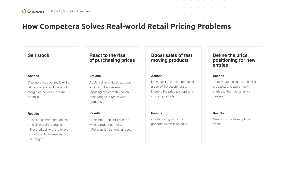## **How Сompetera Solves Real-world Retail Pricing Problems**

### **Sell stock**

Change prices optimally while taking into account the profit margin of the whole product portfolio.

#### **Actions**

- Loyal customers are focused on high-margin products.

- The profitability of the whole product portfolio remains unchanged.

#### **Results**

### **React to the rise of purchasing prices**

Apply a differentiated approach to pricing. Run several repricing cycles with uneven price ranges to reach KPIs gradually.

#### **Actions**

- Retained profitability for the whole product portfolio.
- Revenue is kept unchanged.

#### **Results**

### **Boost sales of fast moving products**

Leave as it is or raise prices for a part of the assortment to improve the price perception of chosen products.

#### **Actions**

- Fast-moving products generate revenue steadily.

#### **Results**

### **Define the price positioning for new entries**

Identify latent clusters of similar products, and assign new entries to the most affinitive clusters.

#### **Actions**

New products have optimal prices.

#### **Results**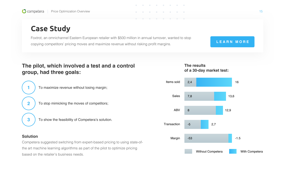Foxtrot, an omnichannel Eastern European retailer with \$500 million in annual turnover, wanted to stop copying competitors' pricing moves and maximize revenue without risking profit margins. **[LEARN MORE](https://competera.net/pdf/case-study-po.pdf)** 

### **Case Study**

| The pilot, which involved a test and a control<br>group, had three goals:    |              |       | The res<br>of a 30- |
|------------------------------------------------------------------------------|--------------|-------|---------------------|
| To maximize revenue without losing margin;                                   | Items sold   | 2,4   |                     |
|                                                                              | <b>Sales</b> | 7,8   |                     |
| $\overline{\mathbf{2}}$<br>To stop mimicking the moves of competitors;       |              |       |                     |
|                                                                              | <b>ABV</b>   | 8     |                     |
| 3<br>To show the feasibility of Competera's solution.                        |              |       |                     |
|                                                                              | Transaction  | $-5$  |                     |
|                                                                              |              |       |                     |
| <b>Solution</b>                                                              | Margin       | $-53$ |                     |
| Competera suggested switching from expert-based pricing to using state-of-   |              |       |                     |
| the art machine learning algorithms as part of the pilot to optimize pricing |              |       | N                   |
| based on the retailer's business needs.                                      |              |       |                     |







 $\bullet$